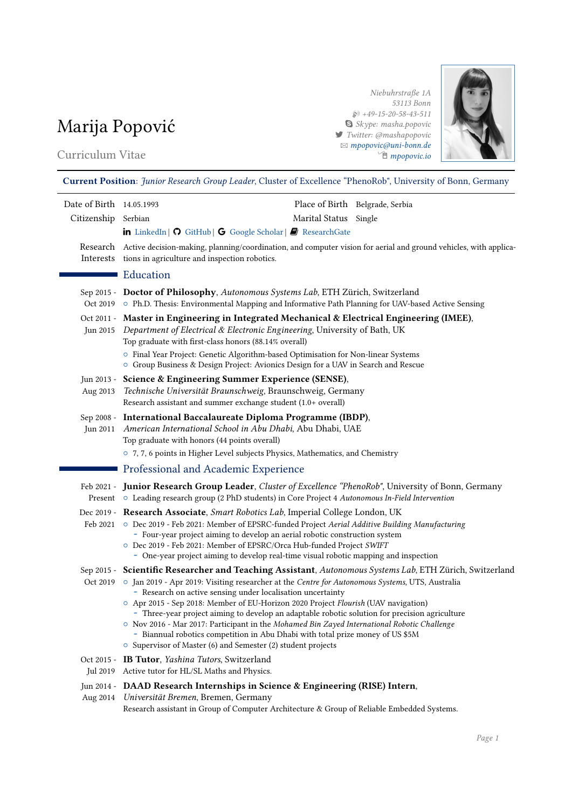# Marija Popović

# Curriculum Vitae

Niebuhrstraße 1A 53113 Bonn  $$49-15-20-58-43-511$  Skype: masha.popovic 7 Twitter: @mashapopovic B [mpopovic@uni-bonn.de](mailto:mpopovic@uni-bonn.de) Í [mpopovic.io](http://mpopovic.io)



# Current Position: Junior Research Group Leader, Cluster of Excellence "PhenoRob", University of Bonn, Germany

| Date of Birth 14.05.1993 |                                                                                                                                                                                                                                                                                                                                                                                                                                                                                                                                                                                                                  |                       | Place of Birth Belgrade, Serbia |  |  |
|--------------------------|------------------------------------------------------------------------------------------------------------------------------------------------------------------------------------------------------------------------------------------------------------------------------------------------------------------------------------------------------------------------------------------------------------------------------------------------------------------------------------------------------------------------------------------------------------------------------------------------------------------|-----------------------|---------------------------------|--|--|
| Citizenship Serbian      |                                                                                                                                                                                                                                                                                                                                                                                                                                                                                                                                                                                                                  | Marital Status Single |                                 |  |  |
|                          | in LinkedIn   O GitHub   G Google Scholar   2 ResearchGate                                                                                                                                                                                                                                                                                                                                                                                                                                                                                                                                                       |                       |                                 |  |  |
|                          | Research Active decision-making, planning/coordination, and computer vision for aerial and ground vehicles, with applica-<br>Interests tions in agriculture and inspection robotics.                                                                                                                                                                                                                                                                                                                                                                                                                             |                       |                                 |  |  |
|                          | Education                                                                                                                                                                                                                                                                                                                                                                                                                                                                                                                                                                                                        |                       |                                 |  |  |
|                          | Sep 2015 - Doctor of Philosophy, Autonomous Systems Lab, ETH Zürich, Switzerland<br>Oct 2019 ○ Ph.D. Thesis: Environmental Mapping and Informative Path Planning for UAV-based Active Sensing                                                                                                                                                                                                                                                                                                                                                                                                                    |                       |                                 |  |  |
|                          | Oct 2011 - Master in Engineering in Integrated Mechanical & Electrical Engineering (IMEE),<br>Jun 2015 Department of Electrical & Electronic Engineering, University of Bath, UK<br>Top graduate with first-class honors (88.14% overall)<br><sup>o</sup> Final Year Project: Genetic Algorithm-based Optimisation for Non-linear Systems<br>O Group Business & Design Project: Avionics Design for a UAV in Search and Rescue                                                                                                                                                                                   |                       |                                 |  |  |
| Aug 2013                 | Jun 2013 - Science & Engineering Summer Experience (SENSE),<br>Technische Universität Braunschweig, Braunschweig, Germany<br>Research assistant and summer exchange student (1.0+ overall)                                                                                                                                                                                                                                                                                                                                                                                                                       |                       |                                 |  |  |
|                          | Sep 2008 - International Baccalaureate Diploma Programme (IBDP),<br>Jun 2011 American International School in Abu Dhabi, Abu Dhabi, UAE<br>Top graduate with honors (44 points overall)<br>○ 7, 7, 6 points in Higher Level subjects Physics, Mathematics, and Chemistry                                                                                                                                                                                                                                                                                                                                         |                       |                                 |  |  |
|                          | Professional and Academic Experience                                                                                                                                                                                                                                                                                                                                                                                                                                                                                                                                                                             |                       |                                 |  |  |
|                          | Feb 2021 - Junior Research Group Leader, Cluster of Excellence "PhenoRob", University of Bonn, Germany<br>Present ○ Leading research group (2 PhD students) in Core Project 4 Autonomous In-Field Intervention                                                                                                                                                                                                                                                                                                                                                                                                   |                       |                                 |  |  |
|                          | Dec 2019 - Research Associate, Smart Robotics Lab, Imperial College London, UK<br>Feb 2021 © Dec 2019 - Feb 2021: Member of EPSRC-funded Project Aerial Additive Building Manufacturing<br>- Four-year project aiming to develop an aerial robotic construction system<br>O Dec 2019 - Feb 2021: Member of EPSRC/Orca Hub-funded Project SWIFT<br>- One-year project aiming to develop real-time visual robotic mapping and inspection                                                                                                                                                                           |                       |                                 |  |  |
|                          | Sep 2015 - Scientific Researcher and Teaching Assistant, Autonomous Systems Lab, ETH Zürich, Switzerland<br>- Research on active sensing under localisation uncertainty<br>O Apr 2015 - Sep 2018: Member of EU-Horizon 2020 Project Flourish (UAV navigation)<br>- Three-year project aiming to develop an adaptable robotic solution for precision agriculture<br>○ Nov 2016 - Mar 2017: Participant in the Mohamed Bin Zayed International Robotic Challenge<br>- Biannual robotics competition in Abu Dhabi with total prize money of US \$5M<br>○ Supervisor of Master (6) and Semester (2) student projects |                       |                                 |  |  |
|                          | Oct 2015 - IB Tutor, Yashina Tutors, Switzerland<br>Jul 2019 Active tutor for HL/SL Maths and Physics.                                                                                                                                                                                                                                                                                                                                                                                                                                                                                                           |                       |                                 |  |  |
|                          |                                                                                                                                                                                                                                                                                                                                                                                                                                                                                                                                                                                                                  |                       |                                 |  |  |
| Aug 2014                 | Jun 2014 - DAAD Research Internships in Science & Engineering (RISE) Intern,<br>Universität Bremen, Bremen, Germany<br>Research assistant in Group of Computer Architecture & Group of Reliable Embedded Systems.                                                                                                                                                                                                                                                                                                                                                                                                |                       |                                 |  |  |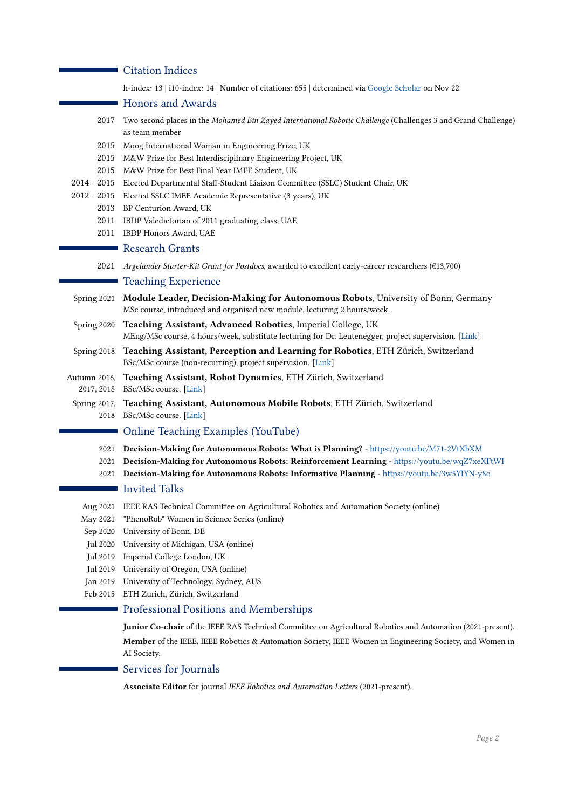# **Citation Indices**

h-index: 13 | i10-index: 14 | Number of citations: 655 | determined via [Google Scholar](https://scholar.google.com/citations?user=XON8iQoAAAAJ&hl=en) on Nov 22

#### Honors and Awards

- 2017 Two second places in the Mohamed Bin Zayed International Robotic Challenge (Challenges 3 and Grand Challenge) as team member
- 2015 Moog International Woman in Engineering Prize, UK
- 2015 M&W Prize for Best Interdisciplinary Engineering Project, UK
- 2015 M&W Prize for Best Final Year IMEE Student, UK
- 2014 2015 Elected Departmental Staff-Student Liaison Committee (SSLC) Student Chair, UK
- 2012 2015 Elected SSLC IMEE Academic Representative (3 years), UK
	- 2013 BP Centurion Award, UK
		- 2011 IBDP Valedictorian of 2011 graduating class, UAE
		- 2011 IBDP Honors Award, UAE

#### Research Grants

2021 Argelander Starter-Kit Grant for Postdocs, awarded to excellent early-career researchers (€13,700)

#### ■ Teaching Experience

- Spring 2021 Module Leader, Decision-Making for Autonomous Robots, University of Bonn, Germany MSc course, introduced and organised new module, lecturing 2 hours/week.
- Spring 2020 Teaching Assistant, Advanced Robotics, Imperial College, UK MEng/MSc course, 4 hours/week, substitute lecturing for Dr. Leutenegger, project supervision. [\[Link\]](http://www.imperial.ac.uk/computing/current-students/courses/433/)
- Spring 2018 Teaching Assistant, Perception and Learning for Robotics, ETH Zürich, Switzerland BSc/MSc course (non-recurring), project supervision. [\[Link\]](https://asl.ethz.ch/education/lectures/perception_and_learning_for_robotics.html)
- Autumn 2016, 2017, 2018 BSc/MSc course. [\[Link\]](https://rsl.ethz.ch/education-students/lectures/robotdynamics.html) Teaching Assistant, Robot Dynamics, ETH Zürich, Switzerland
	- Spring 2017, Teaching Assistant, Autonomous Mobile Robots, ETH Zürich, Switzerland 2018 BSc/MSc course. [\[Link\]](https://asl.ethz.ch/education/lectures/autonomous_mobile_robots.html)

# Online Teaching Examples (YouTube)

- 2021 Decision-Making for Autonomous Robots: What is Planning? <https://youtu.be/M71-2VtXbXM>
- 2021 Decision-Making for Autonomous Robots: Reinforcement Learning <https://youtu.be/wqZ7xeXFtWI>
- 2021 Decision-Making for Autonomous Robots: Informative Planning <https://youtu.be/3w5YIYN-y8o>

## Invited Talks

- Aug 2021 IEEE RAS Technical Committee on Agricultural Robotics and Automation Society (online)
- May 2021 "PhenoRob" Women in Science Series (online)
- Sep 2020 University of Bonn, DE
- Jul 2020 University of Michigan, USA (online)
- Jul 2019 Imperial College London, UK
- Jul 2019 University of Oregon, USA (online)
- Jan 2019 University of Technology, Sydney, AUS
- Feb 2015 ETH Zurich, Zürich, Switzerland

# Professional Positions and Memberships

Junior Co-chair of the IEEE RAS Technical Committee on Agricultural Robotics and Automation (2021-present). Member of the IEEE, IEEE Robotics & Automation Society, IEEE Women in Engineering Society, and Women in AI Society.

# Services for Journals

Associate Editor for journal IEEE Robotics and Automation Letters (2021-present).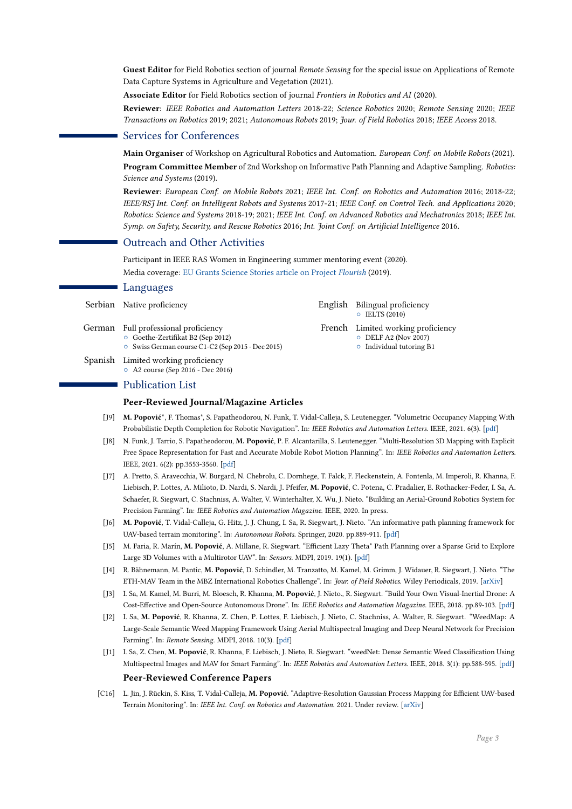Guest Editor for Field Robotics section of journal Remote Sensing for the special issue on Applications of Remote Data Capture Systems in Agriculture and Vegetation (2021).

Associate Editor for Field Robotics section of journal Frontiers in Robotics and AI (2020).

Reviewer: IEEE Robotics and Automation Letters 2018-22; Science Robotics 2020; Remote Sensing 2020; IEEE Transactions on Robotics 2019; 2021; Autonomous Robots 2019; Jour. of Field Robotics 2018; IEEE Access 2018.

# Services for Conferences

Main Organiser of Workshop on Agricultural Robotics and Automation. European Conf. on Mobile Robots (2021).

Program Committee Member of 2nd Workshop on Informative Path Planning and Adaptive Sampling. Robotics: Science and Systems (2019).

Reviewer: European Conf. on Mobile Robots 2021; IEEE Int. Conf. on Robotics and Automation 2016; 2018-22; IEEE/RSJ Int. Conf. on Intelligent Robots and Systems 2017-21; IEEE Conf. on Control Tech. and Applications 2020; Robotics: Science and Systems 2018-19; 2021; IEEE Int. Conf. on Advanced Robotics and Mechatronics 2018; IEEE Int. Symp. on Safety, Security, and Rescue Robotics 2016; Int. Joint Conf. on Artificial Intelligence 2016.

#### Outreach and Other Activities

Participant in IEEE RAS Women in Engineering summer mentoring event (2020). Media coverage: [EU Grants Science Stories article on Project](https://science-stories.ch/flourish/) Flourish (2019).

#### ■ Languages

| Serbian Native proficiency                                                                                                     | English Bilingual proficiency<br>$\circ$ IELTS (2010)                                          |
|--------------------------------------------------------------------------------------------------------------------------------|------------------------------------------------------------------------------------------------|
| German Full professional proficiency<br>○ Goethe-Zertifikat B2 (Sep 2012)<br>○ Swiss German course C1-C2 (Sep 2015 - Dec 2015) | French Limited working proficiency<br>$O$ DELF A2 (Nov 2007)<br>$\circ$ Individual tutoring B1 |
| Spanish Limited working proficiency                                                                                            |                                                                                                |

{ A2 course (Sep 2016 - Dec 2016)

# ■ Publication List

#### Peer-Reviewed Journal/Magazine Articles

- [J9] M. Popović\*, F. Thomas\*, S. Papatheodorou, N. Funk, T. Vidal-Calleja, S. Leutenegger. "Volumetric Occupancy Mapping With Probabilistic Depth Completion for Robotic Navigation". In: IEEE Robotics and Automation Letters. IEEE, 2021. 6(3). [\[pdf\]](https://ieeexplore.ieee.org/abstract/document/9392300)
- [J8] N. Funk, J. Tarrio, S. Papatheodorou, M. Popović, P. F. Alcantarilla, S. Leutenegger. "Multi-Resolution 3D Mapping with Explicit Free Space Representation for Fast and Accurate Mobile Robot Motion Planning". In: IEEE Robotics and Automation Letters. IEEE, 2021. 6(2): pp.3553-3560. [\[pdf\]](https://ieeexplore.ieee.org/document/9362165)
- [J7] A. Pretto, S. Aravecchia, W. Burgard, N. Chebrolu, C. Dornhege, T. Falck, F. Fleckenstein, A. Fontenla, M. Imperoli, R. Khanna, F. Liebisch, P. Lottes, A. Milioto, D. Nardi, S. Nardi, J. Pfeifer, M. Popović, C. Potena, C. Pradalier, E. Rothacker-Feder, I. Sa, A. Schaefer, R. Siegwart, C. Stachniss, A. Walter, V. Winterhalter, X. Wu, J. Nieto. "Building an Aerial-Ground Robotics System for Precision Farming". In: IEEE Robotics and Automation Magazine. IEEE, 2020. In press.
- [J6] M. Popović, T. Vidal-Calleja, G. Hitz, J. J. Chung, I. Sa, R. Siegwart, J. Nieto. "An informative path planning framework for UAV-based terrain monitoring". In: Autonomous Robots. Springer, 2020. pp.889-911. [\[pdf\]](https://link.springer.com/article/10.1007/s10514-020-09903-2)
- [J5] M. Faria, R. Marín, M. Popović, A. Millane, R. Siegwart. "Efficient Lazy Theta\* Path Planning over a Sparse Grid to Explore Large 3D Volumes with a Multirotor UAV". In: Sensors. MDPI, 2019. 19(1). [\[pdf\]](https://www.mdpi.com/1424-8220/19/1/174)
- [J4] R. Bähnemann, M. Pantic, M. Popović, D. Schindler, M. Tranzatto, M. Kamel, M. Grimm, J. Widauer, R. Siegwart, J. Nieto. "The ETH-MAV Team in the MBZ International Robotics Challenge". In: Jour. of Field Robotics. Wiley Periodicals, 2019. [\[arXiv\]](https://arxiv.org/abs/1710.08275)
- [J3] I. Sa, M. Kamel, M. Burri, M. Bloesch, R. Khanna, M. Popović, J. Nieto., R. Siegwart. "Build Your Own Visual-Inertial Drone: A Cost-Effective and Open-Source Autonomous Drone". In: IEEE Robotics and Automation Magazine. IEEE, 2018. pp.89-103. [\[pdf\]](https://ieeexplore.ieee.org/document/8233182/)
- [J2] I. Sa, M. Popović, R. Khanna, Z. Chen, P. Lottes, F. Liebisch, J. Nieto, C. Stachniss, A. Walter, R. Siegwart. "WeedMap: A Large-Scale Semantic Weed Mapping Framework Using Aerial Multispectral Imaging and Deep Neural Network for Precision Farming". In: Remote Sensing. MDPI, 2018. 10(3). [\[pdf\]](https://www.mdpi.com/2072-4292/10/9/1423)
- [J1] I. Sa, Z. Chen, M. Popović, R. Khanna, F. Liebisch, J. Nieto, R. Siegwart. "weedNet: Dense Semantic Weed Classification Using Multispectral Images and MAV for Smart Farming". In: IEEE Robotics and Automation Letters. IEEE, 2018. 3(1): pp.588-595. [\[pdf\]](https://ieeexplore.ieee.org/document/8115245/) Peer-Reviewed Conference Papers
- [C16] L. Jin, J. Rückin, S. Kiss, T. Vidal-Calleja, M. Popović. "Adaptive-Resolution Gaussian Process Mapping for Efficient UAV-based Terrain Monitoring". In: IEEE Int. Conf. on Robotics and Automation. 2021. Under review. [\[arXiv\]](https://arxiv.org/abs/2109.14257)